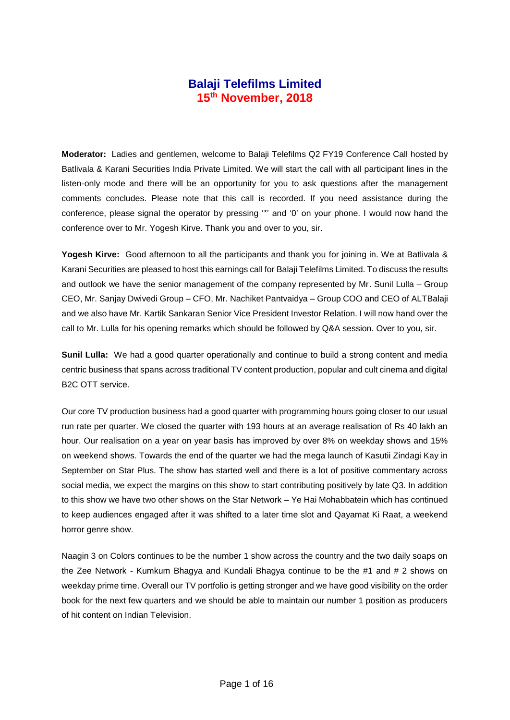## **Balaji Telefilms Limited 15th November, 2018**

**Moderator:** Ladies and gentlemen, welcome to Balaji Telefilms Q2 FY19 Conference Call hosted by Batlivala & Karani Securities India Private Limited. We will start the call with all participant lines in the listen-only mode and there will be an opportunity for you to ask questions after the management comments concludes. Please note that this call is recorded. If you need assistance during the conference, please signal the operator by pressing '\*' and '0' on your phone. I would now hand the conference over to Mr. Yogesh Kirve. Thank you and over to you, sir.

**Yogesh Kirve:** Good afternoon to all the participants and thank you for joining in. We at Batlivala & Karani Securities are pleased to host this earnings call for Balaji Telefilms Limited. To discuss the results and outlook we have the senior management of the company represented by Mr. Sunil Lulla – Group CEO, Mr. Sanjay Dwivedi Group – CFO, Mr. Nachiket Pantvaidya – Group COO and CEO of ALTBalaji and we also have Mr. Kartik Sankaran Senior Vice President Investor Relation. I will now hand over the call to Mr. Lulla for his opening remarks which should be followed by Q&A session. Over to you, sir.

**Sunil Lulla:** We had a good quarter operationally and continue to build a strong content and media centric business that spans across traditional TV content production, popular and cult cinema and digital B2C OTT service.

Our core TV production business had a good quarter with programming hours going closer to our usual run rate per quarter. We closed the quarter with 193 hours at an average realisation of Rs 40 lakh an hour. Our realisation on a year on year basis has improved by over 8% on weekday shows and 15% on weekend shows. Towards the end of the quarter we had the mega launch of Kasutii Zindagi Kay in September on Star Plus. The show has started well and there is a lot of positive commentary across social media, we expect the margins on this show to start contributing positively by late Q3. In addition to this show we have two other shows on the Star Network – Ye Hai Mohabbatein which has continued to keep audiences engaged after it was shifted to a later time slot and Qayamat Ki Raat, a weekend horror genre show.

Naagin 3 on Colors continues to be the number 1 show across the country and the two daily soaps on the Zee Network - Kumkum Bhagya and Kundali Bhagya continue to be the #1 and # 2 shows on weekday prime time. Overall our TV portfolio is getting stronger and we have good visibility on the order book for the next few quarters and we should be able to maintain our number 1 position as producers of hit content on Indian Television.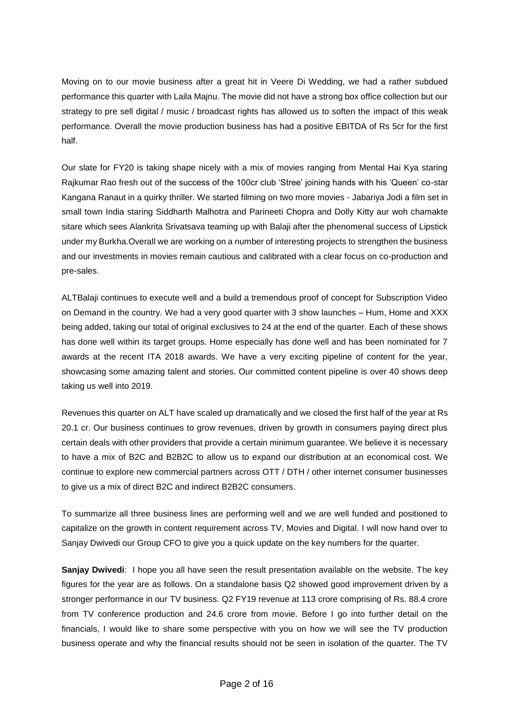Moving on to our movie business after a great hit in Veere Di Wedding, we had a rather subdued performance this quarter with Laila Majnu. The movie did not have a strong box office collection but our strategy to pre sell digital / music / broadcast rights has allowed us to soften the impact of this weak performance. Overall the movie production business has had a positive EBITDA of Rs 5cr for the first half.

Our slate for FY20 is taking shape nicely with a mix of movies ranging from Mental Hai Kya staring Rajkumar Rao fresh out of the success of the 100cr club 'Stree' joining hands with his 'Queen' co-star Kangana Ranaut in a quirky thriller. We started filming on two more movies - Jabariya Jodi a film set in small town India staring Siddharth Malhotra and Parineeti Chopra and Dolly Kitty aur woh chamakte sitare which sees Alankrita Srivatsava teaming up with Balaji after the phenomenal success of Lipstick under my Burkha.Overall we are working on a number of interesting projects to strengthen the business and our investments in movies remain cautious and calibrated with a clear focus on co-production and pre-sales.

ALTBalaji continues to execute well and a build a tremendous proof of concept for Subscription Video on Demand in the country. We had a very good quarter with 3 show launches – Hum, Home and XXX being added, taking our total of original exclusives to 24 at the end of the quarter. Each of these shows has done well within its target groups. Home especially has done well and has been nominated for 7 awards at the recent ITA 2018 awards. We have a very exciting pipeline of content for the year, showcasing some amazing talent and stories. Our committed content pipeline is over 40 shows deep taking us well into 2019.

Revenues this quarter on ALT have scaled up dramatically and we closed the first half of the year at Rs 20.1 cr. Our business continues to grow revenues, driven by growth in consumers paying direct plus certain deals with other providers that provide a certain minimum guarantee. We believe it is necessary to have a mix of B2C and B2B2C to allow us to expand our distribution at an economical cost. We continue to explore new commercial partners across OTT / DTH / other internet consumer businesses to give us a mix of direct B2C and indirect B2B2C consumers.

To summarize all three business lines are performing well and we are well funded and positioned to capitalize on the growth in content requirement across TV, Movies and Digital. I will now hand over to Sanjay Dwivedi our Group CFO to give you a quick update on the key numbers for the quarter.

**Sanjay Dwivedi**: I hope you all have seen the result presentation available on the website. The key figures for the year are as follows. On a standalone basis Q2 showed good improvement driven by a stronger performance in our TV business. Q2 FY19 revenue at 113 crore comprising of Rs. 88.4 crore from TV conference production and 24.6 crore from movie. Before I go into further detail on the financials, I would like to share some perspective with you on how we will see the TV production business operate and why the financial results should not be seen in isolation of the quarter. The TV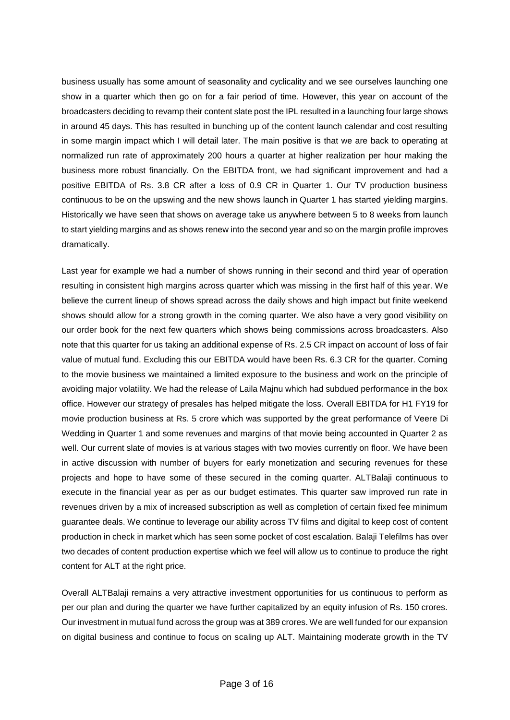business usually has some amount of seasonality and cyclicality and we see ourselves launching one show in a quarter which then go on for a fair period of time. However, this year on account of the broadcasters deciding to revamp their content slate post the IPL resulted in a launching four large shows in around 45 days. This has resulted in bunching up of the content launch calendar and cost resulting in some margin impact which I will detail later. The main positive is that we are back to operating at normalized run rate of approximately 200 hours a quarter at higher realization per hour making the business more robust financially. On the EBITDA front, we had significant improvement and had a positive EBITDA of Rs. 3.8 CR after a loss of 0.9 CR in Quarter 1. Our TV production business continuous to be on the upswing and the new shows launch in Quarter 1 has started yielding margins. Historically we have seen that shows on average take us anywhere between 5 to 8 weeks from launch to start yielding margins and as shows renew into the second year and so on the margin profile improves dramatically.

Last year for example we had a number of shows running in their second and third year of operation resulting in consistent high margins across quarter which was missing in the first half of this year. We believe the current lineup of shows spread across the daily shows and high impact but finite weekend shows should allow for a strong growth in the coming quarter. We also have a very good visibility on our order book for the next few quarters which shows being commissions across broadcasters. Also note that this quarter for us taking an additional expense of Rs. 2.5 CR impact on account of loss of fair value of mutual fund. Excluding this our EBITDA would have been Rs. 6.3 CR for the quarter. Coming to the movie business we maintained a limited exposure to the business and work on the principle of avoiding major volatility. We had the release of Laila Majnu which had subdued performance in the box office. However our strategy of presales has helped mitigate the loss. Overall EBITDA for H1 FY19 for movie production business at Rs. 5 crore which was supported by the great performance of Veere Di Wedding in Quarter 1 and some revenues and margins of that movie being accounted in Quarter 2 as well. Our current slate of movies is at various stages with two movies currently on floor. We have been in active discussion with number of buyers for early monetization and securing revenues for these projects and hope to have some of these secured in the coming quarter. ALTBalaji continuous to execute in the financial year as per as our budget estimates. This quarter saw improved run rate in revenues driven by a mix of increased subscription as well as completion of certain fixed fee minimum guarantee deals. We continue to leverage our ability across TV films and digital to keep cost of content production in check in market which has seen some pocket of cost escalation. Balaji Telefilms has over two decades of content production expertise which we feel will allow us to continue to produce the right content for ALT at the right price.

Overall ALTBalaji remains a very attractive investment opportunities for us continuous to perform as per our plan and during the quarter we have further capitalized by an equity infusion of Rs. 150 crores. Our investment in mutual fund across the group was at 389 crores. We are well funded for our expansion on digital business and continue to focus on scaling up ALT. Maintaining moderate growth in the TV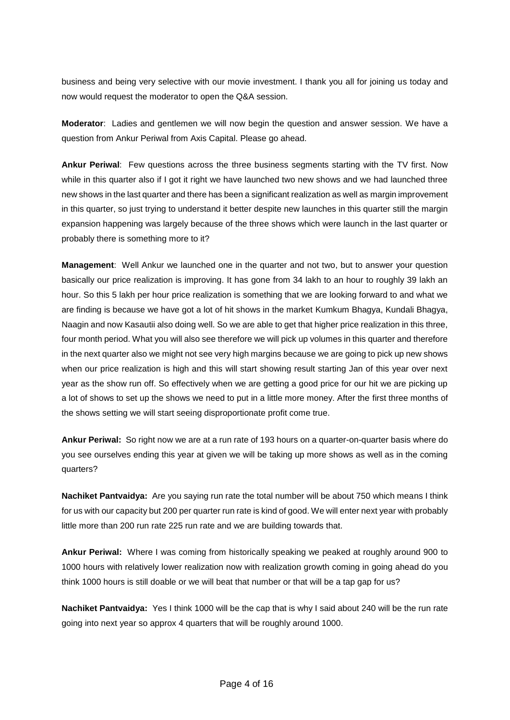business and being very selective with our movie investment. I thank you all for joining us today and now would request the moderator to open the Q&A session.

**Moderator**: Ladies and gentlemen we will now begin the question and answer session. We have a question from Ankur Periwal from Axis Capital. Please go ahead.

**Ankur Periwal**: Few questions across the three business segments starting with the TV first. Now while in this quarter also if I got it right we have launched two new shows and we had launched three new shows in the last quarter and there has been a significant realization as well as margin improvement in this quarter, so just trying to understand it better despite new launches in this quarter still the margin expansion happening was largely because of the three shows which were launch in the last quarter or probably there is something more to it?

**Management**: Well Ankur we launched one in the quarter and not two, but to answer your question basically our price realization is improving. It has gone from 34 lakh to an hour to roughly 39 lakh an hour. So this 5 lakh per hour price realization is something that we are looking forward to and what we are finding is because we have got a lot of hit shows in the market Kumkum Bhagya, Kundali Bhagya, Naagin and now Kasautii also doing well. So we are able to get that higher price realization in this three, four month period. What you will also see therefore we will pick up volumes in this quarter and therefore in the next quarter also we might not see very high margins because we are going to pick up new shows when our price realization is high and this will start showing result starting Jan of this year over next year as the show run off. So effectively when we are getting a good price for our hit we are picking up a lot of shows to set up the shows we need to put in a little more money. After the first three months of the shows setting we will start seeing disproportionate profit come true.

**Ankur Periwal:** So right now we are at a run rate of 193 hours on a quarter-on-quarter basis where do you see ourselves ending this year at given we will be taking up more shows as well as in the coming quarters?

**Nachiket Pantvaidya:** Are you saying run rate the total number will be about 750 which means I think for us with our capacity but 200 per quarter run rate is kind of good. We will enter next year with probably little more than 200 run rate 225 run rate and we are building towards that.

**Ankur Periwal:** Where I was coming from historically speaking we peaked at roughly around 900 to 1000 hours with relatively lower realization now with realization growth coming in going ahead do you think 1000 hours is still doable or we will beat that number or that will be a tap gap for us?

**Nachiket Pantvaidya:** Yes I think 1000 will be the cap that is why I said about 240 will be the run rate going into next year so approx 4 quarters that will be roughly around 1000.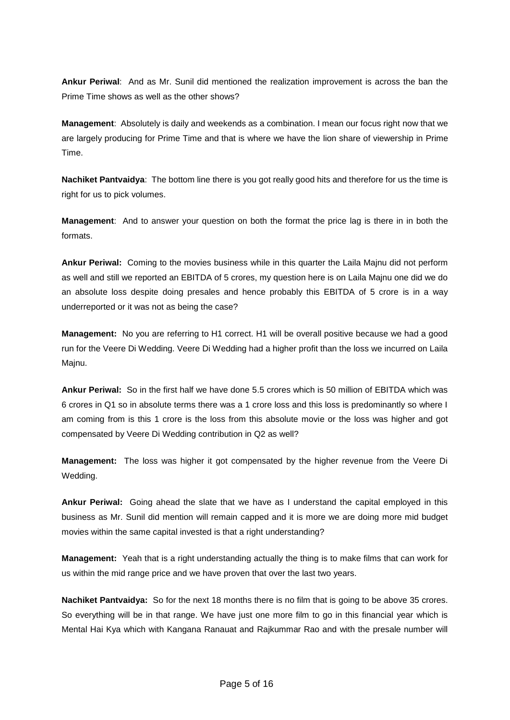**Ankur Periwal**: And as Mr. Sunil did mentioned the realization improvement is across the ban the Prime Time shows as well as the other shows?

**Management**: Absolutely is daily and weekends as a combination. I mean our focus right now that we are largely producing for Prime Time and that is where we have the lion share of viewership in Prime Time.

**Nachiket Pantvaidya**: The bottom line there is you got really good hits and therefore for us the time is right for us to pick volumes.

**Management**: And to answer your question on both the format the price lag is there in in both the formats.

**Ankur Periwal:** Coming to the movies business while in this quarter the Laila Majnu did not perform as well and still we reported an EBITDA of 5 crores, my question here is on Laila Majnu one did we do an absolute loss despite doing presales and hence probably this EBITDA of 5 crore is in a way underreported or it was not as being the case?

**Management:** No you are referring to H1 correct. H1 will be overall positive because we had a good run for the Veere Di Wedding. Veere Di Wedding had a higher profit than the loss we incurred on Laila Majnu.

**Ankur Periwal:** So in the first half we have done 5.5 crores which is 50 million of EBITDA which was 6 crores in Q1 so in absolute terms there was a 1 crore loss and this loss is predominantly so where I am coming from is this 1 crore is the loss from this absolute movie or the loss was higher and got compensated by Veere Di Wedding contribution in Q2 as well?

**Management:** The loss was higher it got compensated by the higher revenue from the Veere Di Wedding.

**Ankur Periwal:** Going ahead the slate that we have as I understand the capital employed in this business as Mr. Sunil did mention will remain capped and it is more we are doing more mid budget movies within the same capital invested is that a right understanding?

**Management:** Yeah that is a right understanding actually the thing is to make films that can work for us within the mid range price and we have proven that over the last two years.

**Nachiket Pantvaidya:** So for the next 18 months there is no film that is going to be above 35 crores. So everything will be in that range. We have just one more film to go in this financial year which is Mental Hai Kya which with Kangana Ranauat and Rajkummar Rao and with the presale number will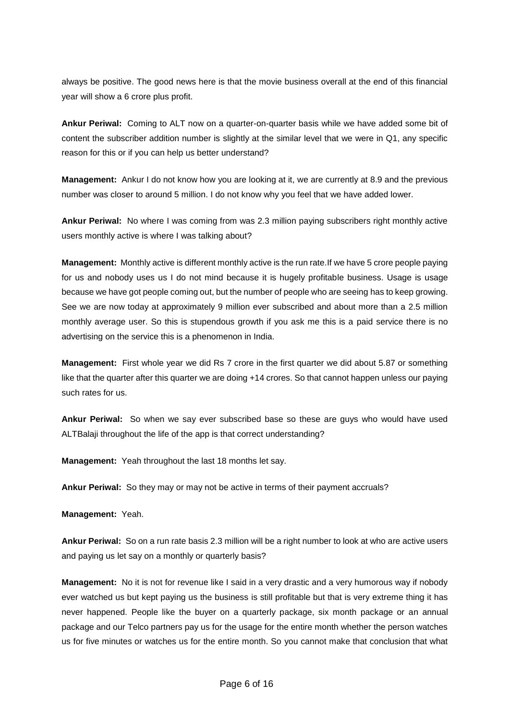always be positive. The good news here is that the movie business overall at the end of this financial year will show a 6 crore plus profit.

**Ankur Periwal:** Coming to ALT now on a quarter-on-quarter basis while we have added some bit of content the subscriber addition number is slightly at the similar level that we were in Q1, any specific reason for this or if you can help us better understand?

**Management:** Ankur I do not know how you are looking at it, we are currently at 8.9 and the previous number was closer to around 5 million. I do not know why you feel that we have added lower.

**Ankur Periwal:** No where I was coming from was 2.3 million paying subscribers right monthly active users monthly active is where I was talking about?

**Management:** Monthly active is different monthly active is the run rate.If we have 5 crore people paying for us and nobody uses us I do not mind because it is hugely profitable business. Usage is usage because we have got people coming out, but the number of people who are seeing has to keep growing. See we are now today at approximately 9 million ever subscribed and about more than a 2.5 million monthly average user. So this is stupendous growth if you ask me this is a paid service there is no advertising on the service this is a phenomenon in India.

**Management:** First whole year we did Rs 7 crore in the first quarter we did about 5.87 or something like that the quarter after this quarter we are doing +14 crores. So that cannot happen unless our paying such rates for us.

**Ankur Periwal:** So when we say ever subscribed base so these are guys who would have used ALTBalaji throughout the life of the app is that correct understanding?

**Management:** Yeah throughout the last 18 months let say.

**Ankur Periwal:** So they may or may not be active in terms of their payment accruals?

**Management:** Yeah.

**Ankur Periwal:** So on a run rate basis 2.3 million will be a right number to look at who are active users and paying us let say on a monthly or quarterly basis?

**Management:** No it is not for revenue like I said in a very drastic and a very humorous way if nobody ever watched us but kept paying us the business is still profitable but that is very extreme thing it has never happened. People like the buyer on a quarterly package, six month package or an annual package and our Telco partners pay us for the usage for the entire month whether the person watches us for five minutes or watches us for the entire month. So you cannot make that conclusion that what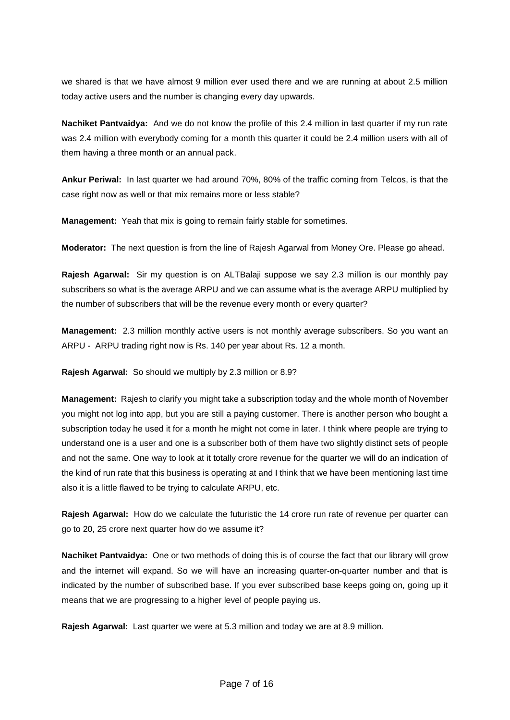we shared is that we have almost 9 million ever used there and we are running at about 2.5 million today active users and the number is changing every day upwards.

**Nachiket Pantvaidya:** And we do not know the profile of this 2.4 million in last quarter if my run rate was 2.4 million with everybody coming for a month this quarter it could be 2.4 million users with all of them having a three month or an annual pack.

**Ankur Periwal:** In last quarter we had around 70%, 80% of the traffic coming from Telcos, is that the case right now as well or that mix remains more or less stable?

**Management:** Yeah that mix is going to remain fairly stable for sometimes.

**Moderator:** The next question is from the line of Rajesh Agarwal from Money Ore. Please go ahead.

**Rajesh Agarwal:** Sir my question is on ALTBalaji suppose we say 2.3 million is our monthly pay subscribers so what is the average ARPU and we can assume what is the average ARPU multiplied by the number of subscribers that will be the revenue every month or every quarter?

**Management:** 2.3 million monthly active users is not monthly average subscribers. So you want an ARPU - ARPU trading right now is Rs. 140 per year about Rs. 12 a month.

**Rajesh Agarwal:** So should we multiply by 2.3 million or 8.9?

**Management:** Rajesh to clarify you might take a subscription today and the whole month of November you might not log into app, but you are still a paying customer. There is another person who bought a subscription today he used it for a month he might not come in later. I think where people are trying to understand one is a user and one is a subscriber both of them have two slightly distinct sets of people and not the same. One way to look at it totally crore revenue for the quarter we will do an indication of the kind of run rate that this business is operating at and I think that we have been mentioning last time also it is a little flawed to be trying to calculate ARPU, etc.

**Rajesh Agarwal:** How do we calculate the futuristic the 14 crore run rate of revenue per quarter can go to 20, 25 crore next quarter how do we assume it?

**Nachiket Pantvaidya:** One or two methods of doing this is of course the fact that our library will grow and the internet will expand. So we will have an increasing quarter-on-quarter number and that is indicated by the number of subscribed base. If you ever subscribed base keeps going on, going up it means that we are progressing to a higher level of people paying us.

**Rajesh Agarwal:** Last quarter we were at 5.3 million and today we are at 8.9 million.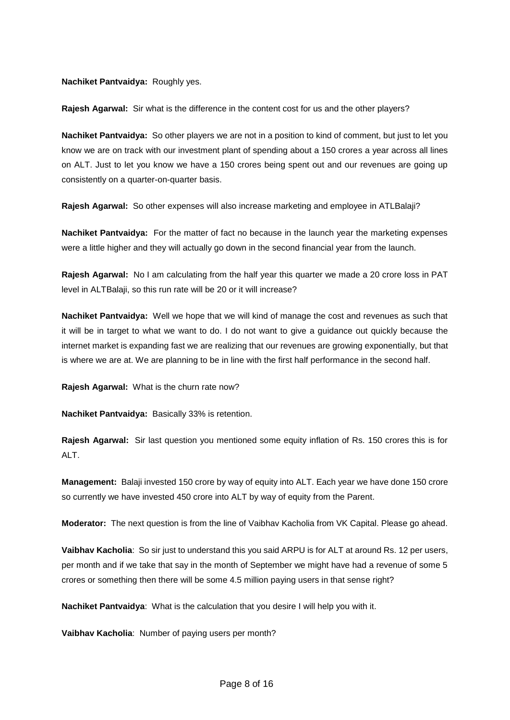## **Nachiket Pantvaidya:** Roughly yes.

**Rajesh Agarwal:** Sir what is the difference in the content cost for us and the other players?

**Nachiket Pantvaidya:** So other players we are not in a position to kind of comment, but just to let you know we are on track with our investment plant of spending about a 150 crores a year across all lines on ALT. Just to let you know we have a 150 crores being spent out and our revenues are going up consistently on a quarter-on-quarter basis.

**Rajesh Agarwal:** So other expenses will also increase marketing and employee in ATLBalaji?

**Nachiket Pantvaidya:** For the matter of fact no because in the launch year the marketing expenses were a little higher and they will actually go down in the second financial year from the launch.

**Rajesh Agarwal:** No I am calculating from the half year this quarter we made a 20 crore loss in PAT level in ALTBalaji, so this run rate will be 20 or it will increase?

**Nachiket Pantvaidya:** Well we hope that we will kind of manage the cost and revenues as such that it will be in target to what we want to do. I do not want to give a guidance out quickly because the internet market is expanding fast we are realizing that our revenues are growing exponentially, but that is where we are at. We are planning to be in line with the first half performance in the second half.

**Rajesh Agarwal:** What is the churn rate now?

**Nachiket Pantvaidya:** Basically 33% is retention.

**Rajesh Agarwal:** Sir last question you mentioned some equity inflation of Rs. 150 crores this is for ALT.

**Management:** Balaji invested 150 crore by way of equity into ALT. Each year we have done 150 crore so currently we have invested 450 crore into ALT by way of equity from the Parent.

**Moderator:** The next question is from the line of Vaibhav Kacholia from VK Capital. Please go ahead.

**Vaibhav Kacholia**: So sir just to understand this you said ARPU is for ALT at around Rs. 12 per users, per month and if we take that say in the month of September we might have had a revenue of some 5 crores or something then there will be some 4.5 million paying users in that sense right?

**Nachiket Pantvaidya**: What is the calculation that you desire I will help you with it.

**Vaibhav Kacholia**: Number of paying users per month?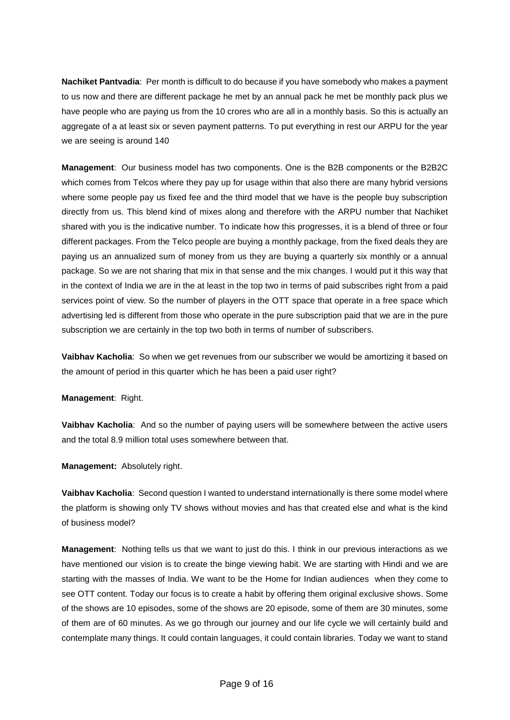**Nachiket Pantvadia**: Per month is difficult to do because if you have somebody who makes a payment to us now and there are different package he met by an annual pack he met be monthly pack plus we have people who are paying us from the 10 crores who are all in a monthly basis. So this is actually an aggregate of a at least six or seven payment patterns. To put everything in rest our ARPU for the year we are seeing is around 140

**Management**: Our business model has two components. One is the B2B components or the B2B2C which comes from Telcos where they pay up for usage within that also there are many hybrid versions where some people pay us fixed fee and the third model that we have is the people buy subscription directly from us. This blend kind of mixes along and therefore with the ARPU number that Nachiket shared with you is the indicative number. To indicate how this progresses, it is a blend of three or four different packages. From the Telco people are buying a monthly package, from the fixed deals they are paying us an annualized sum of money from us they are buying a quarterly six monthly or a annual package. So we are not sharing that mix in that sense and the mix changes. I would put it this way that in the context of India we are in the at least in the top two in terms of paid subscribes right from a paid services point of view. So the number of players in the OTT space that operate in a free space which advertising led is different from those who operate in the pure subscription paid that we are in the pure subscription we are certainly in the top two both in terms of number of subscribers.

**Vaibhav Kacholia**: So when we get revenues from our subscriber we would be amortizing it based on the amount of period in this quarter which he has been a paid user right?

**Management**: Right.

**Vaibhav Kacholia**: And so the number of paying users will be somewhere between the active users and the total 8.9 million total uses somewhere between that.

**Management:** Absolutely right.

**Vaibhav Kacholia**: Second question I wanted to understand internationally is there some model where the platform is showing only TV shows without movies and has that created else and what is the kind of business model?

**Management**: Nothing tells us that we want to just do this. I think in our previous interactions as we have mentioned our vision is to create the binge viewing habit. We are starting with Hindi and we are starting with the masses of India. We want to be the Home for Indian audiences when they come to see OTT content. Today our focus is to create a habit by offering them original exclusive shows. Some of the shows are 10 episodes, some of the shows are 20 episode, some of them are 30 minutes, some of them are of 60 minutes. As we go through our journey and our life cycle we will certainly build and contemplate many things. It could contain languages, it could contain libraries. Today we want to stand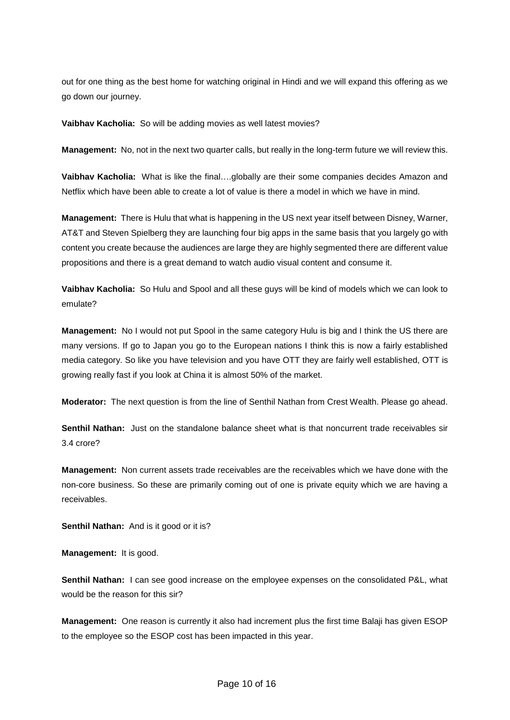out for one thing as the best home for watching original in Hindi and we will expand this offering as we go down our journey.

**Vaibhav Kacholia:** So will be adding movies as well latest movies?

**Management:** No, not in the next two quarter calls, but really in the long-term future we will review this.

**Vaibhav Kacholia:** What is like the final….globally are their some companies decides Amazon and Netflix which have been able to create a lot of value is there a model in which we have in mind.

**Management:** There is Hulu that what is happening in the US next year itself between Disney, Warner, AT&T and Steven Spielberg they are launching four big apps in the same basis that you largely go with content you create because the audiences are large they are highly segmented there are different value propositions and there is a great demand to watch audio visual content and consume it.

**Vaibhav Kacholia:** So Hulu and Spool and all these guys will be kind of models which we can look to emulate?

**Management:** No I would not put Spool in the same category Hulu is big and I think the US there are many versions. If go to Japan you go to the European nations I think this is now a fairly established media category. So like you have television and you have OTT they are fairly well established, OTT is growing really fast if you look at China it is almost 50% of the market.

**Moderator:** The next question is from the line of Senthil Nathan from Crest Wealth. Please go ahead.

**Senthil Nathan:** Just on the standalone balance sheet what is that noncurrent trade receivables sir 3.4 crore?

**Management:** Non current assets trade receivables are the receivables which we have done with the non-core business. So these are primarily coming out of one is private equity which we are having a receivables.

**Senthil Nathan:** And is it good or it is?

**Management:** It is good.

**Senthil Nathan:** I can see good increase on the employee expenses on the consolidated P&L, what would be the reason for this sir?

**Management:** One reason is currently it also had increment plus the first time Balaji has given ESOP to the employee so the ESOP cost has been impacted in this year.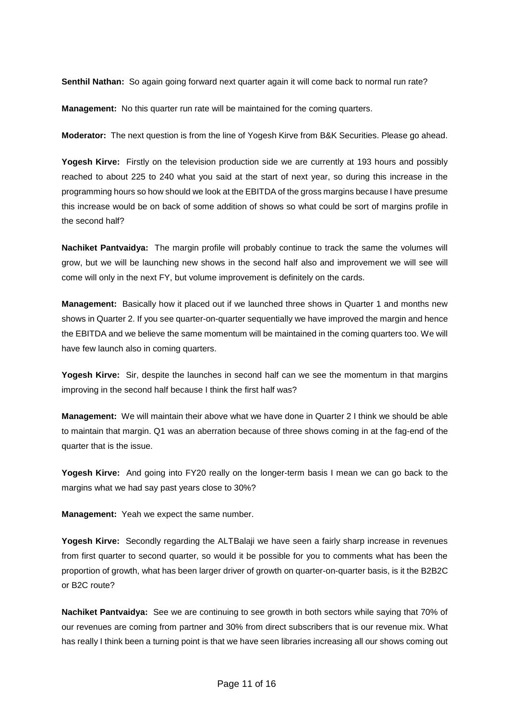**Senthil Nathan:** So again going forward next quarter again it will come back to normal run rate?

**Management:** No this quarter run rate will be maintained for the coming quarters.

**Moderator:** The next question is from the line of Yogesh Kirve from B&K Securities. Please go ahead.

**Yogesh Kirve:** Firstly on the television production side we are currently at 193 hours and possibly reached to about 225 to 240 what you said at the start of next year, so during this increase in the programming hours so how should we look at the EBITDA of the gross margins because I have presume this increase would be on back of some addition of shows so what could be sort of margins profile in the second half?

**Nachiket Pantvaidya:** The margin profile will probably continue to track the same the volumes will grow, but we will be launching new shows in the second half also and improvement we will see will come will only in the next FY, but volume improvement is definitely on the cards.

**Management:** Basically how it placed out if we launched three shows in Quarter 1 and months new shows in Quarter 2. If you see quarter-on-quarter sequentially we have improved the margin and hence the EBITDA and we believe the same momentum will be maintained in the coming quarters too. We will have few launch also in coming quarters.

**Yogesh Kirve:** Sir, despite the launches in second half can we see the momentum in that margins improving in the second half because I think the first half was?

**Management:** We will maintain their above what we have done in Quarter 2 I think we should be able to maintain that margin. Q1 was an aberration because of three shows coming in at the fag-end of the quarter that is the issue.

**Yogesh Kirve:** And going into FY20 really on the longer-term basis I mean we can go back to the margins what we had say past years close to 30%?

**Management:** Yeah we expect the same number.

**Yogesh Kirve:** Secondly regarding the ALTBalaji we have seen a fairly sharp increase in revenues from first quarter to second quarter, so would it be possible for you to comments what has been the proportion of growth, what has been larger driver of growth on quarter-on-quarter basis, is it the B2B2C or B2C route?

**Nachiket Pantvaidya:** See we are continuing to see growth in both sectors while saying that 70% of our revenues are coming from partner and 30% from direct subscribers that is our revenue mix. What has really I think been a turning point is that we have seen libraries increasing all our shows coming out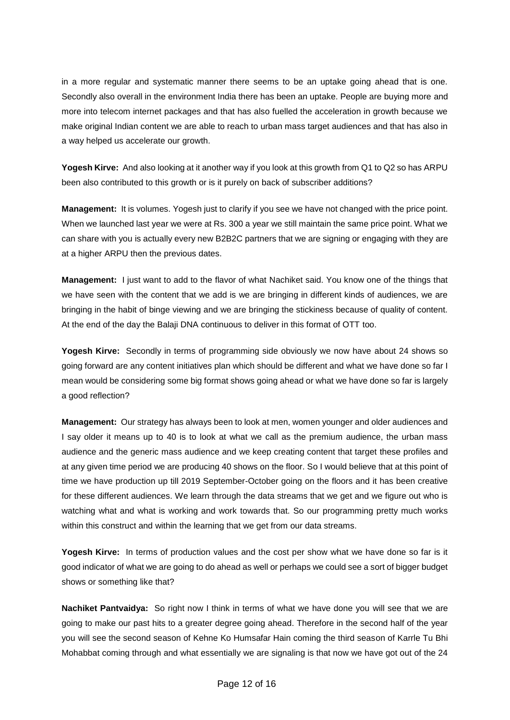in a more regular and systematic manner there seems to be an uptake going ahead that is one. Secondly also overall in the environment India there has been an uptake. People are buying more and more into telecom internet packages and that has also fuelled the acceleration in growth because we make original Indian content we are able to reach to urban mass target audiences and that has also in a way helped us accelerate our growth.

**Yogesh Kirve:** And also looking at it another way if you look at this growth from Q1 to Q2 so has ARPU been also contributed to this growth or is it purely on back of subscriber additions?

**Management:** It is volumes. Yogesh just to clarify if you see we have not changed with the price point. When we launched last year we were at Rs. 300 a year we still maintain the same price point. What we can share with you is actually every new B2B2C partners that we are signing or engaging with they are at a higher ARPU then the previous dates.

**Management:** I just want to add to the flavor of what Nachiket said. You know one of the things that we have seen with the content that we add is we are bringing in different kinds of audiences, we are bringing in the habit of binge viewing and we are bringing the stickiness because of quality of content. At the end of the day the Balaji DNA continuous to deliver in this format of OTT too.

**Yogesh Kirve:** Secondly in terms of programming side obviously we now have about 24 shows so going forward are any content initiatives plan which should be different and what we have done so far I mean would be considering some big format shows going ahead or what we have done so far is largely a good reflection?

**Management:** Our strategy has always been to look at men, women younger and older audiences and I say older it means up to 40 is to look at what we call as the premium audience, the urban mass audience and the generic mass audience and we keep creating content that target these profiles and at any given time period we are producing 40 shows on the floor. So I would believe that at this point of time we have production up till 2019 September-October going on the floors and it has been creative for these different audiences. We learn through the data streams that we get and we figure out who is watching what and what is working and work towards that. So our programming pretty much works within this construct and within the learning that we get from our data streams.

**Yogesh Kirve:** In terms of production values and the cost per show what we have done so far is it good indicator of what we are going to do ahead as well or perhaps we could see a sort of bigger budget shows or something like that?

**Nachiket Pantvaidya:** So right now I think in terms of what we have done you will see that we are going to make our past hits to a greater degree going ahead. Therefore in the second half of the year you will see the second season of Kehne Ko Humsafar Hain coming the third season of Karrle Tu Bhi Mohabbat coming through and what essentially we are signaling is that now we have got out of the 24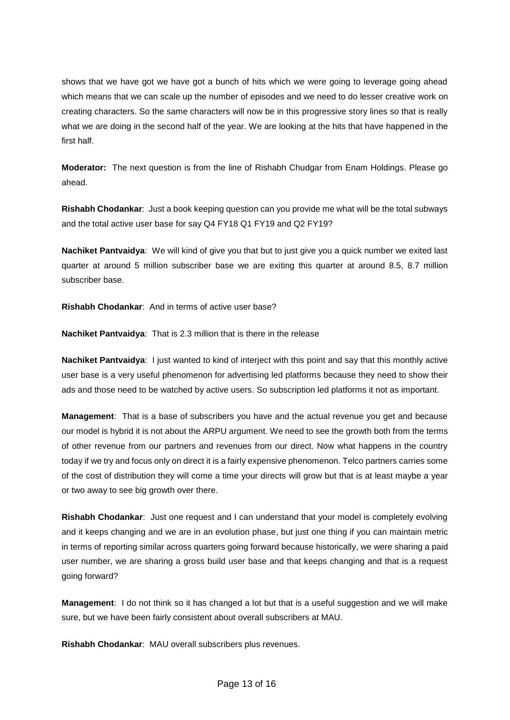shows that we have got we have got a bunch of hits which we were going to leverage going ahead which means that we can scale up the number of episodes and we need to do lesser creative work on creating characters. So the same characters will now be in this progressive story lines so that is really what we are doing in the second half of the year. We are looking at the hits that have happened in the first half.

**Moderator:** The next question is from the line of Rishabh Chudgar from Enam Holdings. Please go ahead.

**Rishabh Chodankar**: Just a book keeping question can you provide me what will be the total subways and the total active user base for say Q4 FY18 Q1 FY19 and Q2 FY19?

**Nachiket Pantvaidya**: We will kind of give you that but to just give you a quick number we exited last quarter at around 5 million subscriber base we are exiting this quarter at around 8.5, 8.7 million subscriber base.

**Rishabh Chodankar**: And in terms of active user base?

**Nachiket Pantvaidya**: That is 2.3 million that is there in the release

**Nachiket Pantvaidya**: I just wanted to kind of interject with this point and say that this monthly active user base is a very useful phenomenon for advertising led platforms because they need to show their ads and those need to be watched by active users. So subscription led platforms it not as important.

**Management**: That is a base of subscribers you have and the actual revenue you get and because our model is hybrid it is not about the ARPU argument. We need to see the growth both from the terms of other revenue from our partners and revenues from our direct. Now what happens in the country today if we try and focus only on direct it is a fairly expensive phenomenon. Telco partners carries some of the cost of distribution they will come a time your directs will grow but that is at least maybe a year or two away to see big growth over there.

**Rishabh Chodankar**: Just one request and I can understand that your model is completely evolving and it keeps changing and we are in an evolution phase, but just one thing if you can maintain metric in terms of reporting similar across quarters going forward because historically, we were sharing a paid user number, we are sharing a gross build user base and that keeps changing and that is a request going forward?

**Management**: I do not think so it has changed a lot but that is a useful suggestion and we will make sure, but we have been fairly consistent about overall subscribers at MAU.

**Rishabh Chodankar**: MAU overall subscribers plus revenues.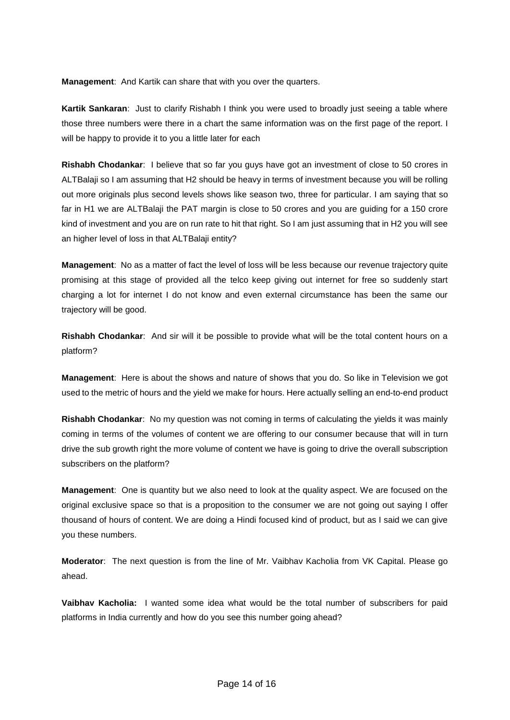**Management**: And Kartik can share that with you over the quarters.

**Kartik Sankaran**: Just to clarify Rishabh I think you were used to broadly just seeing a table where those three numbers were there in a chart the same information was on the first page of the report. I will be happy to provide it to you a little later for each

**Rishabh Chodankar**: I believe that so far you guys have got an investment of close to 50 crores in ALTBalaji so I am assuming that H2 should be heavy in terms of investment because you will be rolling out more originals plus second levels shows like season two, three for particular. I am saying that so far in H1 we are ALTBalaji the PAT margin is close to 50 crores and you are guiding for a 150 crore kind of investment and you are on run rate to hit that right. So I am just assuming that in H2 you will see an higher level of loss in that ALTBalaji entity?

**Management**: No as a matter of fact the level of loss will be less because our revenue trajectory quite promising at this stage of provided all the telco keep giving out internet for free so suddenly start charging a lot for internet I do not know and even external circumstance has been the same our trajectory will be good.

**Rishabh Chodankar**: And sir will it be possible to provide what will be the total content hours on a platform?

**Management**: Here is about the shows and nature of shows that you do. So like in Television we got used to the metric of hours and the yield we make for hours. Here actually selling an end-to-end product

**Rishabh Chodankar**: No my question was not coming in terms of calculating the yields it was mainly coming in terms of the volumes of content we are offering to our consumer because that will in turn drive the sub growth right the more volume of content we have is going to drive the overall subscription subscribers on the platform?

**Management**: One is quantity but we also need to look at the quality aspect. We are focused on the original exclusive space so that is a proposition to the consumer we are not going out saying I offer thousand of hours of content. We are doing a Hindi focused kind of product, but as I said we can give you these numbers.

**Moderator**: The next question is from the line of Mr. Vaibhav Kacholia from VK Capital. Please go ahead.

**Vaibhav Kacholia:** I wanted some idea what would be the total number of subscribers for paid platforms in India currently and how do you see this number going ahead?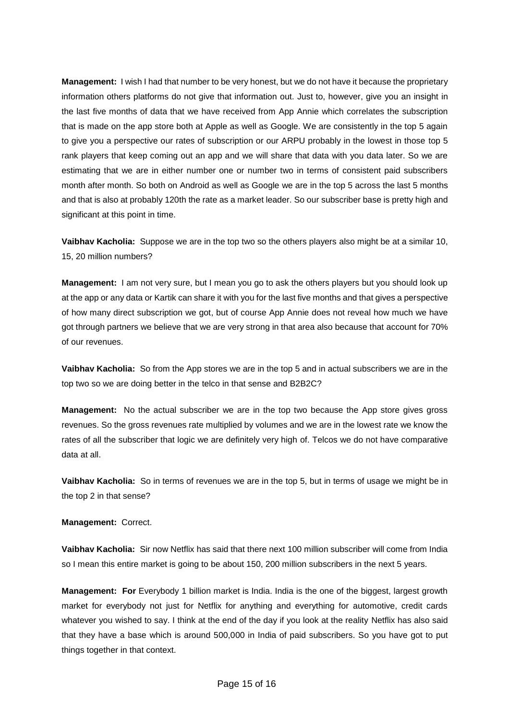**Management:** I wish I had that number to be very honest, but we do not have it because the proprietary information others platforms do not give that information out. Just to, however, give you an insight in the last five months of data that we have received from App Annie which correlates the subscription that is made on the app store both at Apple as well as Google. We are consistently in the top 5 again to give you a perspective our rates of subscription or our ARPU probably in the lowest in those top 5 rank players that keep coming out an app and we will share that data with you data later. So we are estimating that we are in either number one or number two in terms of consistent paid subscribers month after month. So both on Android as well as Google we are in the top 5 across the last 5 months and that is also at probably 120th the rate as a market leader. So our subscriber base is pretty high and significant at this point in time.

**Vaibhav Kacholia:** Suppose we are in the top two so the others players also might be at a similar 10, 15, 20 million numbers?

**Management:** I am not very sure, but I mean you go to ask the others players but you should look up at the app or any data or Kartik can share it with you for the last five months and that gives a perspective of how many direct subscription we got, but of course App Annie does not reveal how much we have got through partners we believe that we are very strong in that area also because that account for 70% of our revenues.

**Vaibhav Kacholia:** So from the App stores we are in the top 5 and in actual subscribers we are in the top two so we are doing better in the telco in that sense and B2B2C?

**Management:** No the actual subscriber we are in the top two because the App store gives gross revenues. So the gross revenues rate multiplied by volumes and we are in the lowest rate we know the rates of all the subscriber that logic we are definitely very high of. Telcos we do not have comparative data at all.

**Vaibhav Kacholia:** So in terms of revenues we are in the top 5, but in terms of usage we might be in the top 2 in that sense?

**Management:** Correct.

**Vaibhav Kacholia:** Sir now Netflix has said that there next 100 million subscriber will come from India so I mean this entire market is going to be about 150, 200 million subscribers in the next 5 years.

**Management: For** Everybody 1 billion market is India. India is the one of the biggest, largest growth market for everybody not just for Netflix for anything and everything for automotive, credit cards whatever you wished to say. I think at the end of the day if you look at the reality Netflix has also said that they have a base which is around 500,000 in India of paid subscribers. So you have got to put things together in that context.